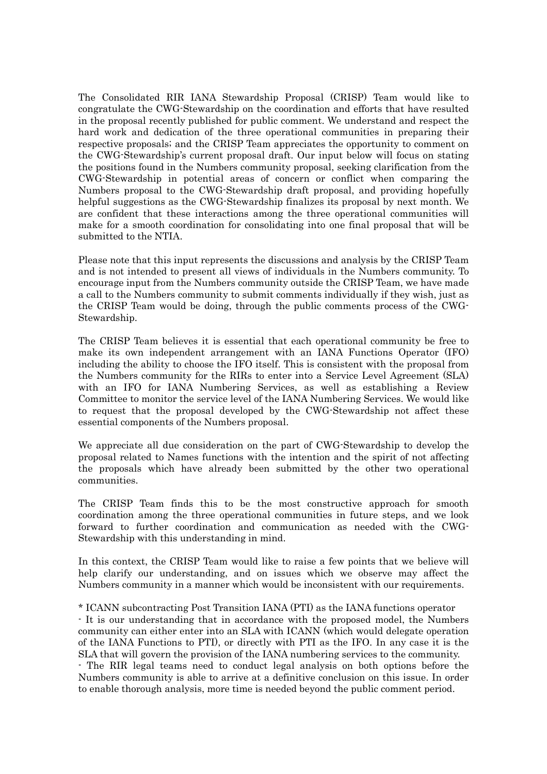The Consolidated RIR IANA Stewardship Proposal (CRISP) Team would like to congratulate the CWG-Stewardship on the coordination and efforts that have resulted in the proposal recently published for public comment. We understand and respect the hard work and dedication of the three operational communities in preparing their respective proposals; and the CRISP Team appreciates the opportunity to comment on the CWG-Stewardship's current proposal draft. Our input below will focus on stating the positions found in the Numbers community proposal, seeking clarification from the CWG-Stewardship in potential areas of concern or conflict when comparing the Numbers proposal to the CWG-Stewardship draft proposal, and providing hopefully helpful suggestions as the CWG-Stewardship finalizes its proposal by next month. We are confident that these interactions among the three operational communities will make for a smooth coordination for consolidating into one final proposal that will be submitted to the NTIA.

Please note that this input represents the discussions and analysis by the CRISP Team and is not intended to present all views of individuals in the Numbers community. To encourage input from the Numbers community outside the CRISP Team, we have made a call to the Numbers community to submit comments individually if they wish, just as the CRISP Team would be doing, through the public comments process of the CWG-Stewardship.

The CRISP Team believes it is essential that each operational community be free to make its own independent arrangement with an IANA Functions Operator (IFO) including the ability to choose the IFO itself. This is consistent with the proposal from the Numbers community for the RIRs to enter into a Service Level Agreement (SLA) with an IFO for IANA Numbering Services, as well as establishing a Review Committee to monitor the service level of the IANA Numbering Services. We would like to request that the proposal developed by the CWG-Stewardship not affect these essential components of the Numbers proposal.

We appreciate all due consideration on the part of CWG-Stewardship to develop the proposal related to Names functions with the intention and the spirit of not affecting the proposals which have already been submitted by the other two operational communities.

The CRISP Team finds this to be the most constructive approach for smooth coordination among the three operational communities in future steps, and we look forward to further coordination and communication as needed with the CWG-Stewardship with this understanding in mind.

In this context, the CRISP Team would like to raise a few points that we believe will help clarify our understanding, and on issues which we observe may affect the Numbers community in a manner which would be inconsistent with our requirements.

\* ICANN subcontracting Post Transition IANA (PTI) as the IANA functions operator - It is our understanding that in accordance with the proposed model, the Numbers community can either enter into an SLA with ICANN (which would delegate operation of the IANA Functions to PTI), or directly with PTI as the IFO. In any case it is the SLA that will govern the provision of the IANA numbering services to the community. - The RIR legal teams need to conduct legal analysis on both options before the Numbers community is able to arrive at a definitive conclusion on this issue. In order to enable thorough analysis, more time is needed beyond the public comment period.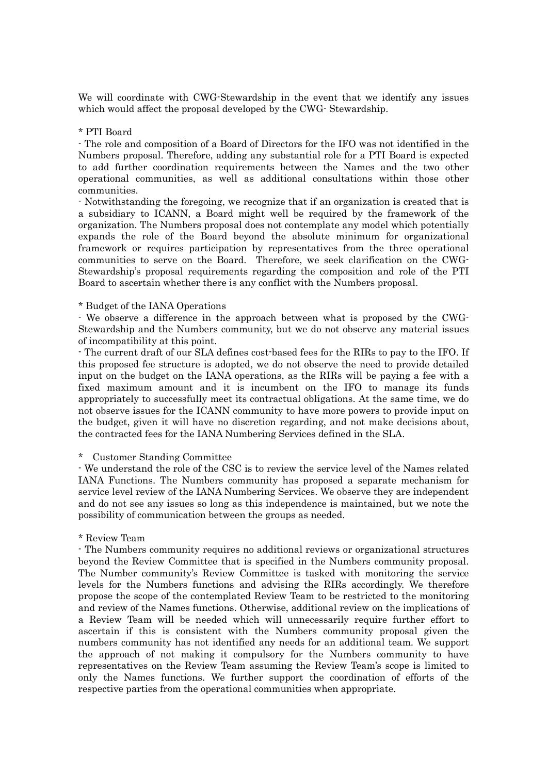We will coordinate with CWG-Stewardship in the event that we identify any issues which would affect the proposal developed by the CWG- Stewardship.

## \* PTI Board

- The role and composition of a Board of Directors for the IFO was not identified in the Numbers proposal. Therefore, adding any substantial role for a PTI Board is expected to add further coordination requirements between the Names and the two other operational communities, as well as additional consultations within those other communities.

- Notwithstanding the foregoing, we recognize that if an organization is created that is a subsidiary to ICANN, a Board might well be required by the framework of the organization. The Numbers proposal does not contemplate any model which potentially expands the role of the Board beyond the absolute minimum for organizational framework or requires participation by representatives from the three operational communities to serve on the Board. Therefore, we seek clarification on the CWG-Stewardship's proposal requirements regarding the composition and role of the PTI Board to ascertain whether there is any conflict with the Numbers proposal.

## \* Budget of the IANA Operations

- We observe a difference in the approach between what is proposed by the CWG-Stewardship and the Numbers community, but we do not observe any material issues of incompatibility at this point.

- The current draft of our SLA defines cost-based fees for the RIRs to pay to the IFO. If this proposed fee structure is adopted, we do not observe the need to provide detailed input on the budget on the IANA operations, as the RIRs will be paying a fee with a fixed maximum amount and it is incumbent on the IFO to manage its funds appropriately to successfully meet its contractual obligations. At the same time, we do not observe issues for the ICANN community to have more powers to provide input on the budget, given it will have no discretion regarding, and not make decisions about, the contracted fees for the IANA Numbering Services defined in the SLA.

## \* Customer Standing Committee

- We understand the role of the CSC is to review the service level of the Names related IANA Functions. The Numbers community has proposed a separate mechanism for service level review of the IANA Numbering Services. We observe they are independent and do not see any issues so long as this independence is maintained, but we note the possibility of communication between the groups as needed.

## \* Review Team

- The Numbers community requires no additional reviews or organizational structures beyond the Review Committee that is specified in the Numbers community proposal. The Number community's Review Committee is tasked with monitoring the service levels for the Numbers functions and advising the RIRs accordingly. We therefore propose the scope of the contemplated Review Team to be restricted to the monitoring and review of the Names functions. Otherwise, additional review on the implications of a Review Team will be needed which will unnecessarily require further effort to ascertain if this is consistent with the Numbers community proposal given the numbers community has not identified any needs for an additional team. We support the approach of not making it compulsory for the Numbers community to have representatives on the Review Team assuming the Review Team's scope is limited to only the Names functions. We further support the coordination of efforts of the respective parties from the operational communities when appropriate.